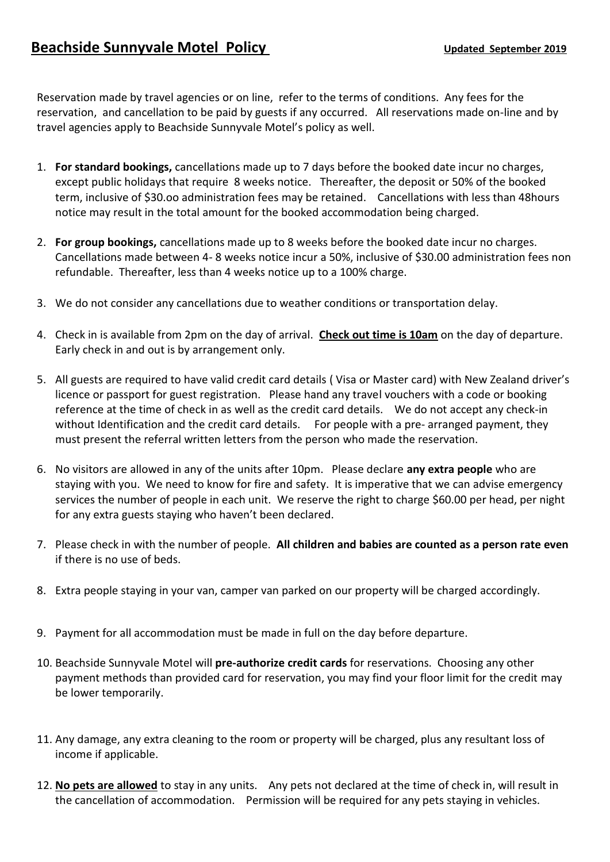Reservation made by travel agencies or on line, refer to the terms of conditions. Any fees for the reservation, and cancellation to be paid by guests if any occurred. All reservations made on-line and by travel agencies apply to Beachside Sunnyvale Motel's policy as well.

- 1. **For standard bookings,** cancellations made up to 7 days before the booked date incur no charges, except public holidays that require 8 weeks notice. Thereafter, the deposit or 50% of the booked term, inclusive of \$30.oo administration fees may be retained. Cancellations with less than 48hours notice may result in the total amount for the booked accommodation being charged.
- 2. **For group bookings,** cancellations made up to 8 weeks before the booked date incur no charges. Cancellations made between 4- 8 weeks notice incur a 50%, inclusive of \$30.00 administration fees non refundable. Thereafter, less than 4 weeks notice up to a 100% charge.
- 3. We do not consider any cancellations due to weather conditions or transportation delay.
- 4. Check in is available from 2pm on the day of arrival. **Check out time is 10am** on the day of departure. Early check in and out is by arrangement only.
- 5. All guests are required to have valid credit card details ( Visa or Master card) with New Zealand driver's licence or passport for guest registration. Please hand any travel vouchers with a code or booking reference at the time of check in as well as the credit card details. We do not accept any check-in without Identification and the credit card details. For people with a pre- arranged payment, they must present the referral written letters from the person who made the reservation.
- 6. No visitors are allowed in any of the units after 10pm. Please declare **any extra people** who are staying with you. We need to know for fire and safety. It is imperative that we can advise emergency services the number of people in each unit. We reserve the right to charge \$60.00 per head, per night for any extra guests staying who haven't been declared.
- 7. Please check in with the number of people. **All children and babies are counted as a person rate even** if there is no use of beds.
- 8. Extra people staying in your van, camper van parked on our property will be charged accordingly.
- 9. Payment for all accommodation must be made in full on the day before departure.
- 10. Beachside Sunnyvale Motel will **pre-authorize credit cards** for reservations. Choosing any other payment methods than provided card for reservation, you may find your floor limit for the credit may be lower temporarily.
- 11. Any damage, any extra cleaning to the room or property will be charged, plus any resultant loss of income if applicable.
- 12. **No pets are allowed** to stay in any units. Any pets not declared at the time of check in, will result in the cancellation of accommodation. Permission will be required for any pets staying in vehicles.